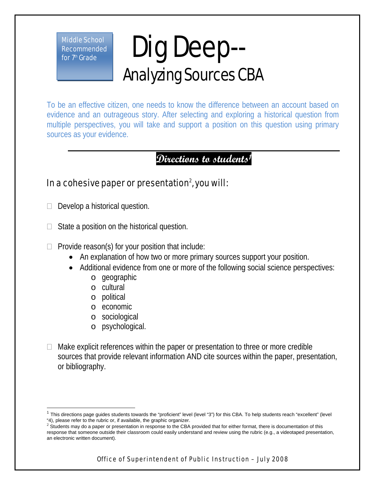Middle School Recommended for  $7<sup>th</sup>$  Grade

## Dig Deep-- Analyzing Sources CBA

To be an effective citizen, one needs to know the difference between an account based on evidence and an outrageous story. After selecting and exploring a historical question from multiple perspectives, you will take and support a position on this question using primary sources as your evidence.

## **Directions to students1**

## In a cohesive paper or presentation $^2$ , you will:

- $\Box$  Develop a historical question.
- $\Box$  State a position on the historical question.
- $\Box$  Provide reason(s) for your position that include:
	- An explanation of how two or more primary sources support your position.
	- Additional evidence from one or more of the following social science perspectives:
		- o geographic
		- o cultural
		- o political
		- o economic
		- o sociological
		- o psychological.
- $\Box$  Make explicit references within the paper or presentation to three or more credible sources that provide relevant information AND cite sources within the paper, presentation, or bibliography.

Office of Superintendent of Public Instruction – July 2008

 $\overline{1}$  $1$  This directions page guides students towards the "proficient" level (level "3") for this CBA. To help students reach "excellent" (level "4), please refer to the rubric or, if available, the graphic organizer.

 $2\,$  Students may do a paper or presentation in response to the CBA provided that for either format, there is documentation of this response that someone outside their classroom could easily understand and review using the rubric (e.g., a videotaped presentation, an electronic written document).